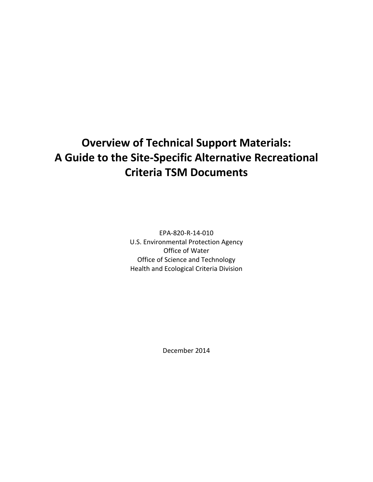# **Overview of Technical Support Materials: A Guide to the Site-Specific Alternative Recreational Criteria TSM Documents**

EPA-820-R-14-010 U.S. Environmental Protection Agency Office of Water Office of Science and Technology Health and Ecological Criteria Division

December 2014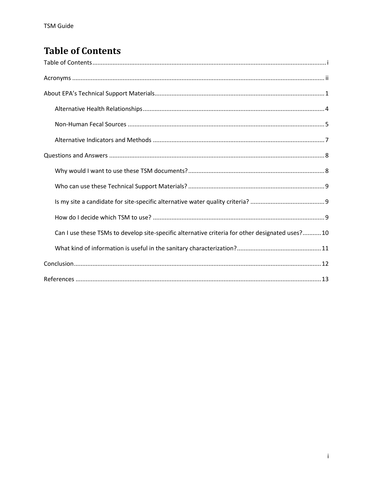## <span id="page-1-0"></span>**Table of Contents**

| Can I use these TSMs to develop site-specific alternative criteria for other designated uses?10 |
|-------------------------------------------------------------------------------------------------|
|                                                                                                 |
|                                                                                                 |
|                                                                                                 |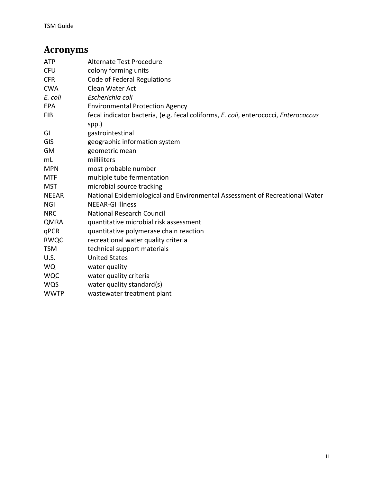## <span id="page-2-0"></span>**Acronyms**

| <b>ATP</b>   | Alternate Test Procedure                                                                     |  |  |
|--------------|----------------------------------------------------------------------------------------------|--|--|
| <b>CFU</b>   | colony forming units                                                                         |  |  |
| <b>CFR</b>   | Code of Federal Regulations                                                                  |  |  |
| <b>CWA</b>   | Clean Water Act                                                                              |  |  |
| E. coli      | Escherichia coli                                                                             |  |  |
| <b>EPA</b>   | <b>Environmental Protection Agency</b>                                                       |  |  |
| <b>FIB</b>   | fecal indicator bacteria, (e.g. fecal coliforms, E. coli, enterococci, Enterococcus<br>spp.) |  |  |
| GI           | gastrointestinal                                                                             |  |  |
| <b>GIS</b>   | geographic information system                                                                |  |  |
| GM           | geometric mean                                                                               |  |  |
| mL           | milliliters                                                                                  |  |  |
| <b>MPN</b>   | most probable number                                                                         |  |  |
| <b>MTF</b>   | multiple tube fermentation                                                                   |  |  |
| <b>MST</b>   | microbial source tracking                                                                    |  |  |
| <b>NEEAR</b> | National Epidemiological and Environmental Assessment of Recreational Water                  |  |  |
| <b>NGI</b>   | <b>NEEAR-GI illness</b>                                                                      |  |  |
| <b>NRC</b>   | <b>National Research Council</b>                                                             |  |  |
| <b>QMRA</b>  | quantitative microbial risk assessment                                                       |  |  |
| qPCR         | quantitative polymerase chain reaction                                                       |  |  |
| <b>RWQC</b>  | recreational water quality criteria                                                          |  |  |
| <b>TSM</b>   | technical support materials                                                                  |  |  |
| U.S.         | <b>United States</b>                                                                         |  |  |
| <b>WQ</b>    | water quality                                                                                |  |  |
| <b>WQC</b>   | water quality criteria                                                                       |  |  |
| <b>WQS</b>   | water quality standard(s)                                                                    |  |  |
| <b>WWTP</b>  | wastewater treatment plant                                                                   |  |  |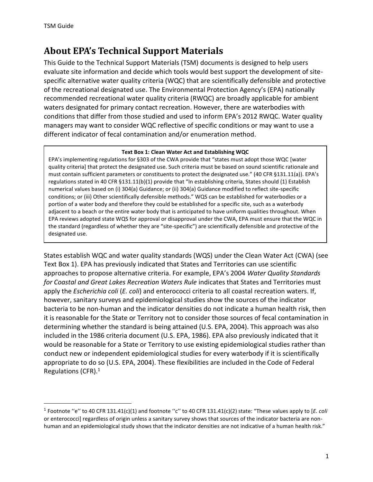$\overline{\phantom{a}}$ 

### <span id="page-3-0"></span>**About EPA's Technical Support Materials**

This Guide to the Technical Support Materials (TSM) documents is designed to help users evaluate site information and decide which tools would best support the development of sitespecific alternative water quality criteria (WQC) that are scientifically defensible and protective of the recreational designated use. The Environmental Protection Agency's (EPA) nationally recommended recreational water quality criteria (RWQC) are broadly applicable for ambient waters designated for primary contact recreation. However, there are waterbodies with conditions that differ from those studied and used to inform EPA's 2012 RWQC. Water quality managers may want to consider WQC reflective of specific conditions or may want to use a different indicator of fecal contamination and/or enumeration method.

#### **Text Box 1: Clean Water Act and Establishing WQC**

EPA's implementing regulations for §303 of the CWA provide that "states must adopt those WQC [water quality criteria] that protect the designated use. Such criteria must be based on sound scientific rationale and must contain sufficient parameters or constituents to protect the designated use." (40 CFR §131.11(a)). EPA's regulations stated in 40 CFR §131.11(b)(1) provide that "In establishing criteria, States should (1) Establish numerical values based on (i) 304(a) Guidance; or (ii) 304(a) Guidance modified to reflect site-specific conditions; or (iii) Other scientifically defensible methods." WQS can be established for waterbodies or a portion of a water body and therefore they could be established for a specific site, such as a waterbody adjacent to a beach or the entire water body that is anticipated to have uniform qualities throughout. When EPA reviews adopted state WQS for approval or disapproval under the CWA, EPA must ensure that the WQC in the standard (regardless of whether they are "site-specific") are scientifically defensible and protective of the designated use.

States establish WQC and water quality standards (WQS) under the Clean Water Act (CWA) (see Text Box 1). EPA has previously indicated that States and Territories can use scientific approaches to propose alternative criteria. For example, EPA's 2004 *Water Quality Standards for Coastal and Great Lakes Recreation Waters Rule* indicates that States and Territories must apply the *Escherichia coli* (*E. coli*) and enterococci criteria to all coastal recreation waters. If, however, sanitary surveys and epidemiological studies show the sources of the indicator bacteria to be non-human and the indicator densities do not indicate a human health risk, then it is reasonable for the State or Territory not to consider those sources of fecal contamination in determining whether the standard is being attained (U.S. EPA, 2004). This approach was also included in the 1986 criteria document (U.S. EPA, 1986). EPA also previously indicated that it would be reasonable for a State or Territory to use existing epidemiological studies rather than conduct new or independent epidemiological studies for every waterbody if it is scientifically appropriate to do so (U.S. EPA, 2004). These flexibilities are included in the Code of Federal Regulations (CFR).<sup>1</sup>

<sup>&</sup>lt;sup>1</sup> Footnote "e" to 40 CFR 131.41(c)(1) and footnote "c" to 40 CFR 131.41(c)(2) state: "These values apply to [*E. coli* or enterococci] regardless of origin unless a sanitary survey shows that sources of the indicator bacteria are nonhuman and an epidemiological study shows that the indicator densities are not indicative of a human health risk."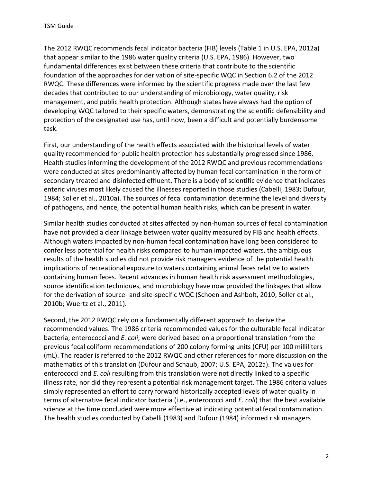The 2012 RWQC recommends fecal indicator bacteria (FIB) levels (Table 1 in U.S. EPA, 2012a) that appear similar to the 1986 water quality criteria (U.S. EPA, 1986). However, two fundamental differences exist between these criteria that contribute to the scientific foundation of the approaches for derivation of site-specific WQC in Section 6.2 of the 2012 RWQC. These differences were informed by the scientific progress made over the last few decades that contributed to our understanding of microbiology, water quality, risk management, and public health protection. Although states have always had the option of developing WQC tailored to their specific waters, demonstrating the scientific defensibility and protection of the designated use has, until now, been a difficult and potentially burdensome task.

First, our understanding of the health effects associated with the historical levels of water quality recommended for public health protection has substantially progressed since 1986. Health studies informing the development of the 2012 RWQC and previous recommendations were conducted at sites predominantly affected by human fecal contamination in the form of secondary treated and disinfected effluent. There is a body of scientific evidence that indicates enteric viruses most likely caused the illnesses reported in those studies (Cabelli, 1983; Dufour, 1984; Soller et al., 2010a). The sources of fecal contamination determine the level and diversity of pathogens, and hence, the potential human health risks, which can be present in water.

Similar health studies conducted at sites affected by non-human sources of fecal contamination have not provided a clear linkage between water quality measured by FIB and health effects. Although waters impacted by non-human fecal contamination have long been considered to confer less potential for health risks compared to human impacted waters, the ambiguous results of the health studies did not provide risk managers evidence of the potential health implications of recreational exposure to waters containing animal feces relative to waters containing human feces. Recent advances in human health risk assessment methodologies, source identification techniques, and microbiology have now provided the linkages that allow for the derivation of source- and site-specific WQC (Schoen and Ashbolt, 2010; Soller et al., 2010b; Wuertz et al., 2011).

Second, the 2012 RWQC rely on a fundamentally different approach to derive the recommended values. The 1986 criteria recommended values for the culturable fecal indicator bacteria, enterococci and *E. coli*, were derived based on a proportional translation from the previous fecal coliform recommendations of 200 colony forming units (CFU) per 100 milliliters (mL). The reader is referred to the 2012 RWQC and other references for more discussion on the mathematics of this translation (Dufour and Schaub, 2007; U.S. EPA, 2012a). The values for enterococci and *E. coli* resulting from this translation were not directly linked to a specific illness rate, nor did they represent a potential risk management target. The 1986 criteria values simply represented an effort to carry forward historically accepted levels of water quality in terms of alternative fecal indicator bacteria (i.e., enterococci and *E. coli*) that the best available science at the time concluded were more effective at indicating potential fecal contamination. The health studies conducted by Cabelli (1983) and Dufour (1984) informed risk managers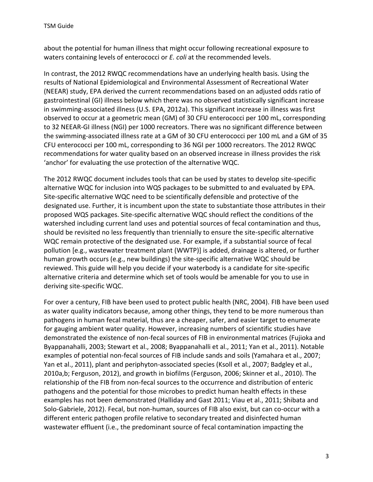about the potential for human illness that might occur following recreational exposure to waters containing levels of enterococci or *E. coli* at the recommended levels.

In contrast, the 2012 RWQC recommendations have an underlying health basis. Using the results of National Epidemiological and Environmental Assessment of Recreational Water (NEEAR) study, EPA derived the current recommendations based on an adjusted odds ratio of gastrointestinal (GI) illness below which there was no observed statistically significant increase in swimming-associated illness (U.S. EPA, 2012a). This significant increase in illness was first observed to occur at a geometric mean (GM) of 30 CFU enterococci per 100 mL, corresponding to 32 NEEAR-GI illness (NGI) per 1000 recreators. There was no significant difference between the swimming-associated illness rate at a GM of 30 CFU enterococci per 100 mL and a GM of 35 CFU enterococci per 100 mL, corresponding to 36 NGI per 1000 recreators. The 2012 RWQC recommendations for water quality based on an observed increase in illness provides the risk 'anchor' for evaluating the use protection of the alternative WQC.

The 2012 RWQC document includes tools that can be used by states to develop site-specific alternative WQC for inclusion into WQS packages to be submitted to and evaluated by EPA. Site-specific alternative WQC need to be scientifically defensible and protective of the designated use. Further, it is incumbent upon the state to substantiate those attributes in their proposed WQS packages. Site-specific alternative WQC should reflect the conditions of the watershed including current land uses and potential sources of fecal contamination and thus, should be revisited no less frequently than triennially to ensure the site-specific alternative WQC remain protective of the designated use. For example, if a substantial source of fecal pollution [e.g., wastewater treatment plant (WWTP)] is added, drainage is altered, or further human growth occurs (e.g., new buildings) the site-specific alternative WQC should be reviewed. This guide will help you decide if your waterbody is a candidate for site-specific alternative criteria and determine which set of tools would be amenable for you to use in deriving site-specific WQC.

For over a century, FIB have been used to protect public health (NRC, 2004). FIB have been used as water quality indicators because, among other things, they tend to be more numerous than pathogens in human fecal material, thus are a cheaper, safer, and easier target to enumerate for gauging ambient water quality. However, increasing numbers of scientific studies have demonstrated the existence of non-fecal sources of FIB in environmental matrices (Fujioka and Byappanahalli, 2003; Stewart et al., 2008; Byappanahalli et al., 2011; Yan et al., 2011). Notable examples of potential non-fecal sources of FIB include sands and soils (Yamahara et al., 2007; Yan et al., 2011), plant and periphyton-associated species (Ksoll et al., 2007; Badgley et al., 2010a,b; Ferguson, 2012), and growth in biofilms (Ferguson, 2006; Skinner et al., 2010). The relationship of the FIB from non-fecal sources to the occurrence and distribution of enteric pathogens and the potential for those microbes to predict human health effects in these examples has not been demonstrated (Halliday and Gast 2011; Viau et al., 2011; Shibata and Solo-Gabriele, 2012). Fecal, but non-human, sources of FIB also exist, but can co-occur with a different enteric pathogen profile relative to secondary treated and disinfected human wastewater effluent (i.e., the predominant source of fecal contamination impacting the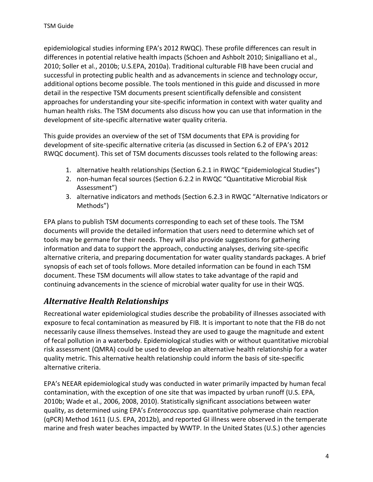epidemiological studies informing EPA's 2012 RWQC). These profile differences can result in differences in potential relative health impacts (Schoen and Ashbolt 2010; Sinigalliano et al., 2010; Soller et al., 2010b; U.S.EPA, 2010a). Traditional culturable FIB have been crucial and successful in protecting public health and as advancements in science and technology occur, additional options become possible. The tools mentioned in this guide and discussed in more detail in the respective TSM documents present scientifically defensible and consistent approaches for understanding your site-specific information in context with water quality and human health risks. The TSM documents also discuss how you can use that information in the development of site-specific alternative water quality criteria.

This guide provides an overview of the set of TSM documents that EPA is providing for development of site-specific alternative criteria (as discussed in Section 6.2 of EPA's 2012 RWQC document). This set of TSM documents discusses tools related to the following areas:

- 1. alternative health relationships (Section 6.2.1 in RWQC "Epidemiological Studies")
- 2. non-human fecal sources (Section 6.2.2 in RWQC "Quantitative Microbial Risk Assessment")
- 3. alternative indicators and methods (Section 6.2.3 in RWQC "Alternative Indicators or Methods")

EPA plans to publish TSM documents corresponding to each set of these tools. The TSM documents will provide the detailed information that users need to determine which set of tools may be germane for their needs. They will also provide suggestions for gathering information and data to support the approach, conducting analyses, deriving site-specific alternative criteria, and preparing documentation for water quality standards packages. A brief synopsis of each set of tools follows. More detailed information can be found in each TSM document. These TSM documents will allow states to take advantage of the rapid and continuing advancements in the science of microbial water quality for use in their WQS.

#### <span id="page-6-0"></span>*Alternative Health Relationships*

Recreational water epidemiological studies describe the probability of illnesses associated with exposure to fecal contamination as measured by FIB. It is important to note that the FIB do not necessarily cause illness themselves. Instead they are used to gauge the magnitude and extent of fecal pollution in a waterbody. Epidemiological studies with or without quantitative microbial risk assessment (QMRA) could be used to develop an alternative health relationship for a water quality metric. This alternative health relationship could inform the basis of site-specific alternative criteria.

EPA's NEEAR epidemiological study was conducted in water primarily impacted by human fecal contamination, with the exception of one site that was impacted by urban runoff (U.S. EPA, 2010b; Wade et al., 2006, 2008, 2010). Statistically significant associations between water quality, as determined using EPA's *Enterococcus* spp. quantitative polymerase chain reaction (qPCR) Method 1611 (U.S. EPA, 2012b), and reported GI illness were observed in the temperate marine and fresh water beaches impacted by WWTP. In the United States (U.S.) other agencies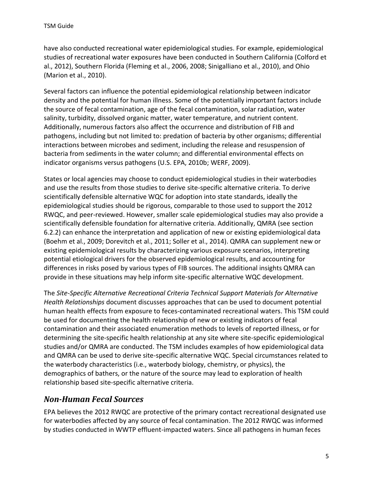have also conducted recreational water epidemiological studies. For example, epidemiological studies of recreational water exposures have been conducted in Southern California (Colford et al., 2012), Southern Florida (Fleming et al., 2006, 2008; Sinigalliano et al., 2010), and Ohio (Marion et al., 2010).

Several factors can influence the potential epidemiological relationship between indicator density and the potential for human illness. Some of the potentially important factors include the source of fecal contamination, age of the fecal contamination, solar radiation, water salinity, turbidity, dissolved organic matter, water temperature, and nutrient content. Additionally, numerous factors also affect the occurrence and distribution of FIB and pathogens, including but not limited to: predation of bacteria by other organisms; differential interactions between microbes and sediment, including the release and resuspension of bacteria from sediments in the water column; and differential environmental effects on indicator organisms versus pathogens (U.S. EPA, 2010b; WERF, 2009).

States or local agencies may choose to conduct epidemiological studies in their waterbodies and use the results from those studies to derive site-specific alternative criteria. To derive scientifically defensible alternative WQC for adoption into state standards, ideally the epidemiological studies should be rigorous, comparable to those used to support the 2012 RWQC, and peer-reviewed. However, smaller scale epidemiological studies may also provide a scientifically defensible foundation for alternative criteria. Additionally, QMRA (see section 6.2.2) can enhance the interpretation and application of new or existing epidemiological data (Boehm et al., 2009; Dorevitch et al., 2011; Soller et al., 2014). QMRA can supplement new or existing epidemiological results by characterizing various exposure scenarios, interpreting potential etiological drivers for the observed epidemiological results, and accounting for differences in risks posed by various types of FIB sources. The additional insights QMRA can provide in these situations may help inform site-specific alternative WQC development.

The *Site-Specific Alternative Recreational Criteria Technical Support Materials for Alternative Health Relationships* document discusses approaches that can be used to document potential human health effects from exposure to feces-contaminated recreational waters. This TSM could be used for documenting the health relationship of new or existing indicators of fecal contamination and their associated enumeration methods to levels of reported illness, or for determining the site-specific health relationship at any site where site-specific epidemiological studies and/or QMRA are conducted. The TSM includes examples of how epidemiological data and QMRA can be used to derive site-specific alternative WQC. Special circumstances related to the waterbody characteristics (i.e., waterbody biology, chemistry, or physics), the demographics of bathers, or the nature of the source may lead to exploration of health relationship based site-specific alternative criteria.

#### <span id="page-7-0"></span>*Non-Human Fecal Sources*

EPA believes the 2012 RWQC are protective of the primary contact recreational designated use for waterbodies affected by any source of fecal contamination. The 2012 RWQC was informed by studies conducted in WWTP effluent-impacted waters. Since all pathogens in human feces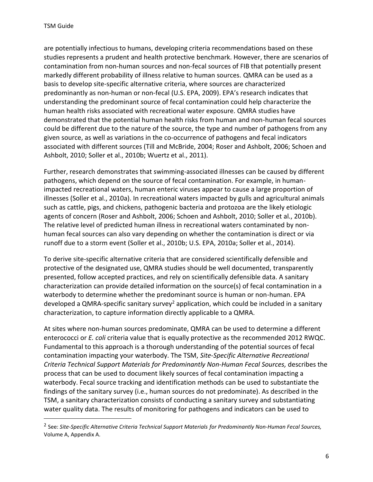$\overline{\phantom{a}}$ 

are potentially infectious to humans, developing criteria recommendations based on these studies represents a prudent and health protective benchmark. However, there are scenarios of contamination from non-human sources and non-fecal sources of FIB that potentially present markedly different probability of illness relative to human sources. QMRA can be used as a basis to develop site-specific alternative criteria, where sources are characterized predominantly as non-human or non-fecal (U.S. EPA, 2009). EPA's research indicates that understanding the predominant source of fecal contamination could help characterize the human health risks associated with recreational water exposure. QMRA studies have demonstrated that the potential human health risks from human and non-human fecal sources could be different due to the nature of the source, the type and number of pathogens from any given source, as well as variations in the co-occurrence of pathogens and fecal indicators associated with different sources (Till and McBride, 2004; Roser and Ashbolt, 2006; Schoen and Ashbolt, 2010; Soller et al., 2010b; Wuertz et al., 2011).

Further, research demonstrates that swimming-associated illnesses can be caused by different pathogens, which depend on the source of fecal contamination. For example, in humanimpacted recreational waters, human enteric viruses appear to cause a large proportion of illnesses (Soller et al., 2010a). In recreational waters impacted by gulls and agricultural animals such as cattle, pigs, and chickens, pathogenic bacteria and protozoa are the likely etiologic agents of concern (Roser and Ashbolt, 2006; Schoen and Ashbolt, 2010; Soller et al., 2010b). The relative level of predicted human illness in recreational waters contaminated by nonhuman fecal sources can also vary depending on whether the contamination is direct or via runoff due to a storm event (Soller et al., 2010b; U.S. EPA, 2010a; Soller et al., 2014).

To derive site-specific alternative criteria that are considered scientifically defensible and protective of the designated use, QMRA studies should be well documented, transparently presented, follow accepted practices, and rely on scientifically defensible data. A sanitary characterization can provide detailed information on the source(s) of fecal contamination in a waterbody to determine whether the predominant source is human or non-human. EPA developed a QMRA-specific sanitary survey<sup>2</sup> application, which could be included in a sanitary characterization, to capture information directly applicable to a QMRA.

At sites where non-human sources predominate, QMRA can be used to determine a different enterococci or *E. coli* criteria value that is equally protective as the recommended 2012 RWQC. Fundamental to this approach is a thorough understanding of the potential sources of fecal contamination impacting your waterbody. The TSM, *Site-Specific Alternative Recreational Criteria Technical Support Materials for Predominantly Non-Human Fecal Sources,* describes the process that can be used to document likely sources of fecal contamination impacting a waterbody. Fecal source tracking and identification methods can be used to substantiate the findings of the sanitary survey (i.e., human sources do not predominate). As described in the TSM, a sanitary characterization consists of conducting a sanitary survey and substantiating water quality data. The results of monitoring for pathogens and indicators can be used to

<sup>2</sup> See: *Site-Specific Alternative Criteria Technical Support Materials for Predominantly Non-Human Fecal Sources,* Volume A, Appendix A.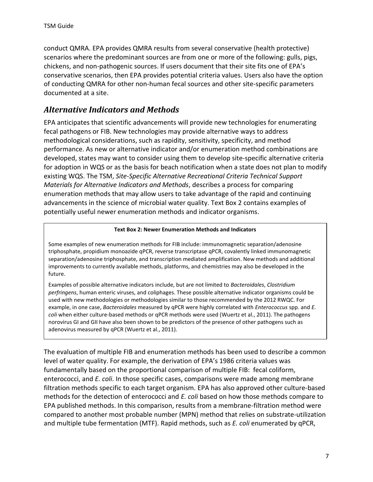conduct QMRA. EPA provides QMRA results from several conservative (health protective) scenarios where the predominant sources are from one or more of the following: gulls, pigs, chickens, and non-pathogenic sources. If users document that their site fits one of EPA's conservative scenarios, then EPA provides potential criteria values. Users also have the option of conducting QMRA for other non-human fecal sources and other site-specific parameters documented at a site.

#### <span id="page-9-0"></span>*Alternative Indicators and Methods*

EPA anticipates that scientific advancements will provide new technologies for enumerating fecal pathogens or FIB. New technologies may provide alternative ways to address methodological considerations, such as rapidity, sensitivity, specificity, and method performance. As new or alternative indicator and/or enumeration method combinations are developed, states may want to consider using them to develop site-specific alternative criteria for adoption in WQS or as the basis for beach notification when a state does not plan to modify existing WQS. The TSM, *Site-Specific Alternative Recreational Criteria Technical Support Materials for Alternative Indicators and Methods*, describes a process for comparing enumeration methods that may allow users to take advantage of the rapid and continuing advancements in the science of microbial water quality. Text Box 2 contains examples of potentially useful newer enumeration methods and indicator organisms.

#### **Text Box 2: Newer Enumeration Methods and Indicators**

Some examples of new enumeration methods for FIB include: immunomagnetic separation/adenosine triphosphate, propidium monoazide qPCR, reverse transcriptase qPCR, covalently linked immunomagnetic separation/adenosine triphosphate, and transcription mediated amplification. New methods and additional improvements to currently available methods, platforms, and chemistries may also be developed in the future.

Examples of possible alternative indicators include, but are not limited to *Bacteroidales*, *Clostridium perfringens*, human enteric viruses, and coliphages. These possible alternative indicator organisms could be used with new methodologies or methodologies similar to those recommended by the 2012 RWQC. For example, in one case, *Bacteroidales* measured by qPCR were highly correlated with *Enterococcus* spp. and *E. coli* when either culture-based methods or qPCR methods were used (Wuertz et al., 2011). The pathogens norovirus GI and GII have also been shown to be predictors of the presence of other pathogens such as adenovirus measured by qPCR (Wuertz et al., 2011).

The evaluation of multiple FIB and enumeration methods has been used to describe a common level of water quality. For example, the derivation of EPA's 1986 criteria values was fundamentally based on the proportional comparison of multiple FIB: fecal coliform, enterococci, and *E. coli*. In those specific cases, comparisons were made among membrane filtration methods specific to each target organism. EPA has also approved other culture-based methods for the detection of enterococci and *E. coli* based on how those methods compare to EPA published methods. In this comparison, results from a membrane-filtration method were compared to another most probable number (MPN) method that relies on substrate-utilization and multiple tube fermentation (MTF). Rapid methods, such as *E. coli* enumerated by qPCR,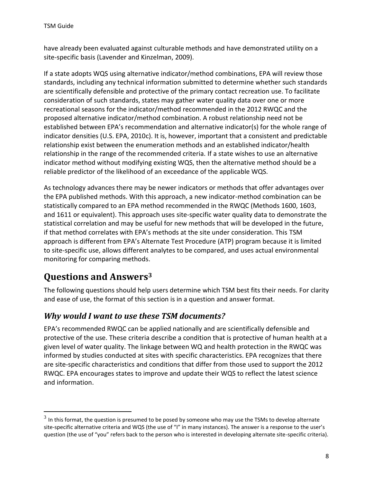have already been evaluated against culturable methods and have demonstrated utility on a site-specific basis (Lavender and Kinzelman, 2009).

If a state adopts WQS using alternative indicator/method combinations, EPA will review those standards, including any technical information submitted to determine whether such standards are scientifically defensible and protective of the primary contact recreation use. To facilitate consideration of such standards, states may gather water quality data over one or more recreational seasons for the indicator/method recommended in the 2012 RWQC and the proposed alternative indicator/method combination. A robust relationship need not be established between EPA's recommendation and alternative indicator(s) for the whole range of indicator densities (U.S. EPA, 2010c). It is, however, important that a consistent and predictable relationship exist between the enumeration methods and an established indicator/health relationship in the range of the recommended criteria. If a state wishes to use an alternative indicator method without modifying existing WQS, then the alternative method should be a reliable predictor of the likelihood of an exceedance of the applicable WQS.

As technology advances there may be newer indicators or methods that offer advantages over the EPA published methods. With this approach, a new indicator-method combination can be statistically compared to an EPA method recommended in the RWQC (Methods 1600, 1603, and 1611 or equivalent). This approach uses site-specific water quality data to demonstrate the statistical correlation and may be useful for new methods that will be developed in the future, if that method correlates with EPA's methods at the site under consideration. This TSM approach is different from EPA's Alternate Test Procedure (ATP) program because it is limited to site-specific use, allows different analytes to be compared, and uses actual environmental monitoring for comparing methods.

## <span id="page-10-0"></span>**Questions and Answers<sup>3</sup>**

 $\overline{a}$ 

The following questions should help users determine which TSM best fits their needs. For clarity and ease of use, the format of this section is in a question and answer format.

#### <span id="page-10-1"></span>*Why would I want to use these TSM documents?*

EPA's recommended RWQC can be applied nationally and are scientifically defensible and protective of the use. These criteria describe a condition that is protective of human health at a given level of water quality. The linkage between WQ and health protection in the RWQC was informed by studies conducted at sites with specific characteristics. EPA recognizes that there are site-specific characteristics and conditions that differ from those used to support the 2012 RWQC. EPA encourages states to improve and update their WQS to reflect the latest science and information.

 $^3$  In this format, the question is presumed to be posed by someone who may use the TSMs to develop alternate site-specific alternative criteria and WQS (the use of "I" in many instances). The answer is a response to the user's question (the use of "you" refers back to the person who is interested in developing alternate site-specific criteria).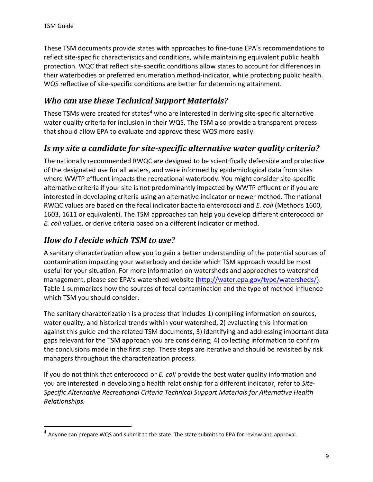$\overline{a}$ 

These TSM documents provide states with approaches to fine-tune EPA's recommendations to reflect site-specific characteristics and conditions, while maintaining equivalent public health protection. WQC that reflect site-specific conditions allow states to account for differences in their waterbodies or preferred enumeration method-indicator, while protecting public health. WQS reflective of site-specific conditions are better for determining attainment.

### <span id="page-11-0"></span>*Who can use these Technical Support Materials?*

These TSMs were created for states<sup>4</sup> who are interested in deriving site-specific alternative water quality criteria for inclusion in their WQS. The TSM also provide a transparent process that should allow EPA to evaluate and approve these WQS more easily.

#### <span id="page-11-1"></span>*Is my site a candidate for site-specific alternative water quality criteria?*

The nationally recommended RWQC are designed to be scientifically defensible and protective of the designated use for all waters, and were informed by epidemiological data from sites where WWTP effluent impacts the recreational waterbody. You might consider site-specific alternative criteria if your site is not predominantly impacted by WWTP effluent or if you are interested in developing criteria using an alternative indicator or newer method. The national RWQC values are based on the fecal indicator bacteria enterococci and *E. coli* (Methods 1600, 1603, 1611 or equivalent). The TSM approaches can help you develop different enterococci or *E. coli* values, or derive criteria based on a different indicator or method.

#### <span id="page-11-2"></span>*How do I decide which TSM to use?*

A sanitary characterization allow you to gain a better understanding of the potential sources of contamination impacting your waterbody and decide which TSM approach would be most useful for your situation. For more information on watersheds and approaches to watershed management, please see EPA's watershed website [\(http://water.epa.gov/type/watersheds/\)](http://water.epa.gov/type/watersheds/). Table 1 summarizes how the sources of fecal contamination and the type of method influence which TSM you should consider.

The sanitary characterization is a process that includes 1) compiling information on sources, water quality, and historical trends within your watershed, 2) evaluating this information against this guide and the related TSM documents, 3) identifying and addressing important data gaps relevant for the TSM approach you are considering, 4) collecting information to confirm the conclusions made in the first step. These steps are iterative and should be revisited by risk managers throughout the characterization process.

If you do not think that enterococci or *E. coli* provide the best water quality information and you are interested in developing a health relationship for a different indicator, refer to *Site-Specific Alternative Recreational Criteria Technical Support Materials for Alternative Health Relationships.*

 $^4$  Anyone can prepare WQS and submit to the state. The state submits to EPA for review and approval.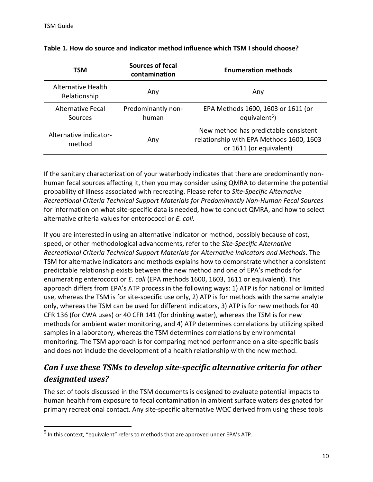$\overline{a}$ 

| <b>TSM</b>                          | Sources of fecal<br>contamination | <b>Enumeration methods</b>                                                                                   |
|-------------------------------------|-----------------------------------|--------------------------------------------------------------------------------------------------------------|
| Alternative Health<br>Relationship  | Any                               | Any                                                                                                          |
| <b>Alternative Fecal</b><br>Sources | Predominantly non-<br>human       | EPA Methods 1600, 1603 or 1611 (or<br>equivalent <sup>5</sup> )                                              |
| Alternative indicator-<br>method    | Any                               | New method has predictable consistent<br>relationship with EPA Methods 1600, 1603<br>or 1611 (or equivalent) |

#### **Table 1. How do source and indicator method influence which TSM I should choose?**

If the sanitary characterization of your waterbody indicates that there are predominantly nonhuman fecal sources affecting it, then you may consider using QMRA to determine the potential probability of illness associated with recreating. Please refer to *Site-Specific Alternative Recreational Criteria Technical Support Materials for Predominantly Non-Human Fecal Sources* for information on what site-specific data is needed, how to conduct QMRA, and how to select alternative criteria values for enterococci or *E. coli.*

If you are interested in using an alternative indicator or method, possibly because of cost, speed, or other methodological advancements, refer to the *Site-Specific Alternative Recreational Criteria Technical Support Materials for Alternative Indicators and Methods*. The TSM for alternative indicators and methods explains how to demonstrate whether a consistent predictable relationship exists between the new method and one of EPA's methods for enumerating enterococci or *E. coli* (EPA methods 1600, 1603, 1611 or equivalent). This approach differs from EPA's ATP process in the following ways: 1) ATP is for national or limited use, whereas the TSM is for site-specific use only, 2) ATP is for methods with the same analyte only, whereas the TSM can be used for different indicators, 3) ATP is for new methods for 40 CFR 136 (for CWA uses) or 40 CFR 141 (for drinking water), whereas the TSM is for new methods for ambient water monitoring, and 4) ATP determines correlations by utilizing spiked samples in a laboratory, whereas the TSM determines correlations by environmental monitoring. The TSM approach is for comparing method performance on a site-specific basis and does not include the development of a health relationship with the new method.

### <span id="page-12-0"></span>*Can I use these TSMs to develop site-specific alternative criteria for other designated uses?*

The set of tools discussed in the TSM documents is designed to evaluate potential impacts to human health from exposure to fecal contamination in ambient surface waters designated for primary recreational contact. Any site-specific alternative WQC derived from using these tools

 $<sup>5</sup>$  In this context, "equivalent" refers to methods that are approved under EPA's ATP.</sup>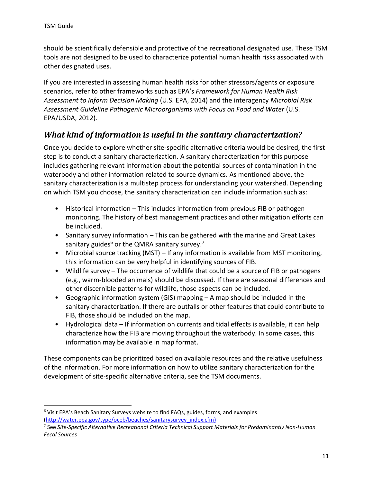$\overline{a}$ 

should be scientifically defensible and protective of the recreational designated use. These TSM tools are not designed to be used to characterize potential human health risks associated with other designated uses.

If you are interested in assessing human health risks for other stressors/agents or exposure scenarios, refer to other frameworks such as EPA's *Framework for Human Health Risk Assessment to Inform Decision Making* (U.S. EPA, 2014) and the interagency *Microbial Risk*  Assessment Guideline Pathogenic Microorganisms with Focus on Food and Water (U.S. EPA/USDA, 2012).

### <span id="page-13-0"></span>*What kind of information is useful in the sanitary characterization?*

Once you decide to explore whether site-specific alternative criteria would be desired, the first step is to conduct a sanitary characterization. A sanitary characterization for this purpose includes gathering relevant information about the potential sources of contamination in the waterbody and other information related to source dynamics. As mentioned above, the sanitary characterization is a multistep process for understanding your watershed. Depending on which TSM you choose, the sanitary characterization can include information such as:

- Historical information This includes information from previous FIB or pathogen monitoring. The history of best management practices and other mitigation efforts can be included.
- Sanitary survey information This can be gathered with the marine and Great Lakes sanitary guides<sup>6</sup> or the QMRA sanitary survey.<sup>7</sup>
- Microbial source tracking (MST) If any information is available from MST monitoring, this information can be very helpful in identifying sources of FIB.
- Wildlife survey The occurrence of wildlife that could be a source of FIB or pathogens (e.g., warm-blooded animals) should be discussed. If there are seasonal differences and other discernible patterns for wildlife, those aspects can be included.
- Geographic information system (GIS) mapping A map should be included in the sanitary characterization. If there are outfalls or other features that could contribute to FIB, those should be included on the map.
- Hydrological data If information on currents and tidal effects is available, it can help characterize how the FIB are moving throughout the waterbody. In some cases, this information may be available in map format.

These components can be prioritized based on available resources and the relative usefulness of the information. For more information on how to utilize sanitary characterization for the development of site-specific alternative criteria, see the TSM documents.

<sup>6</sup> Visit EPA's Beach Sanitary Surveys website to find FAQs, guides, forms, and examples [\(http://water.epa.gov/type/oceb/beaches/sanitarysurvey\\_index.cfm\)](http://water.epa.gov/type/oceb/beaches/sanitarysurvey_index.cfm)

<sup>7</sup> See *Site-Specific Alternative Recreational Criteria Technical Support Materials for Predominantly Non-Human Fecal Sources*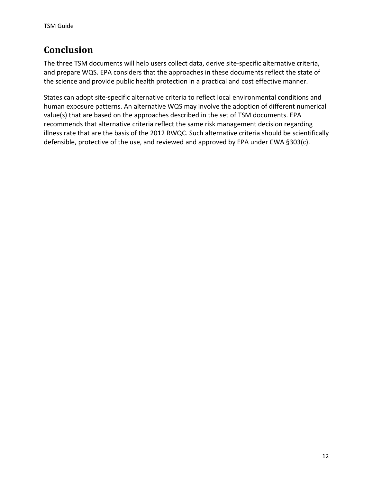## <span id="page-14-0"></span>**Conclusion**

The three TSM documents will help users collect data, derive site-specific alternative criteria, and prepare WQS. EPA considers that the approaches in these documents reflect the state of the science and provide public health protection in a practical and cost effective manner.

States can adopt site-specific alternative criteria to reflect local environmental conditions and human exposure patterns. An alternative WQS may involve the adoption of different numerical value(s) that are based on the approaches described in the set of TSM documents. EPA recommends that alternative criteria reflect the same risk management decision regarding illness rate that are the basis of the 2012 RWQC. Such alternative criteria should be scientifically defensible, protective of the use, and reviewed and approved by EPA under CWA §303(c).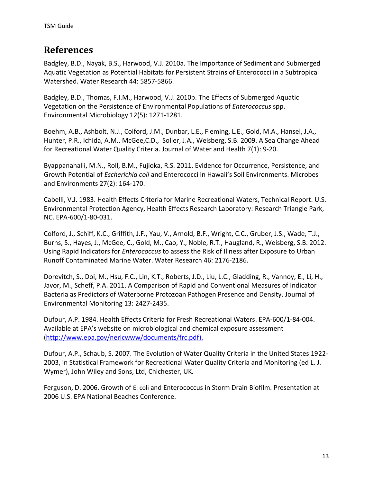### <span id="page-15-0"></span>**References**

Badgley, B.D., Nayak, B.S., Harwood, V.J. 2010a. The Importance of Sediment and Submerged Aquatic Vegetation as Potential Habitats for Persistent Strains of Enterococci in a Subtropical Watershed. Water Research 44: 5857-5866.

Badgley, B.D., Thomas, F.I.M., Harwood, V.J. 2010b. The Effects of Submerged Aquatic Vegetation on the Persistence of Environmental Populations of *Enterococcus* spp. Environmental Microbiology 12(5): 1271-1281.

Boehm, A.B., Ashbolt, N.J., Colford, J.M., Dunbar, L.E., Fleming, L.E., Gold, M.A., Hansel, J.A., Hunter, P.R., Ichida, A.M., McGee,C.D., Soller, J.A., Weisberg, S.B. 2009. A Sea Change Ahead for Recreational Water Quality Criteria. Journal of Water and Health 7(1): 9-20.

Byappanahalli, M.N., Roll, B.M., Fujioka, R.S. 2011. Evidence for Occurrence, Persistence, and Growth Potential of *Escherichia coli* and Enterococci in Hawaii's Soil Environments. Microbes and Environments 27(2): 164-170.

Cabelli, V.J. 1983. Health Effects Criteria for Marine Recreational Waters, Technical Report. U.S. Environmental Protection Agency, Health Effects Research Laboratory: Research Triangle Park, NC. EPA-600/1-80-031.

Colford, J., Schiff, K.C., Griffith, J.F., Yau, V., Arnold, B.F., Wright, C.C., Gruber, J.S., Wade, T.J., Burns, S., Hayes, J., McGee, C., Gold, M., Cao, Y., Noble, R.T., Haugland, R., Weisberg, S.B. 2012. Using Rapid Indicators for *Enterococcus* to assess the Risk of Illness after Exposure to Urban Runoff Contaminated Marine Water. Water Research 46: 2176-2186.

Dorevitch, S., Doi, M., Hsu, F.C., Lin, K.T., Roberts, J.D., Liu, L.C., Gladding, R., Vannoy, E., Li, H., Javor, M., Scheff, P.A. 2011. A Comparison of Rapid and Conventional Measures of Indicator Bacteria as Predictors of Waterborne Protozoan Pathogen Presence and Density. Journal of Environmental Monitoring 13: 2427-2435.

Dufour, A.P. 1984. Health Effects Criteria for Fresh Recreational Waters. EPA-600/1-84-004. Available at EPA's website on microbiological and chemical exposure assessment [\(http://www.epa.gov/nerlcwww/documents/frc.pdf\)](http://www.epa.gov/nerlcwww/documents/frc.pdf).

Dufour, A.P., Schaub, S. 2007. The Evolution of Water Quality Criteria in the United States 1922- 2003, in Statistical Framework for Recreational Water Quality Criteria and Monitoring (ed L. J. Wymer), John Wiley and Sons, Ltd, Chichester, UK.

Ferguson, D. 2006. Growth of E. coli and Enterococcus in Storm Drain Biofilm. Presentation at 2006 U.S. EPA National Beaches Conference.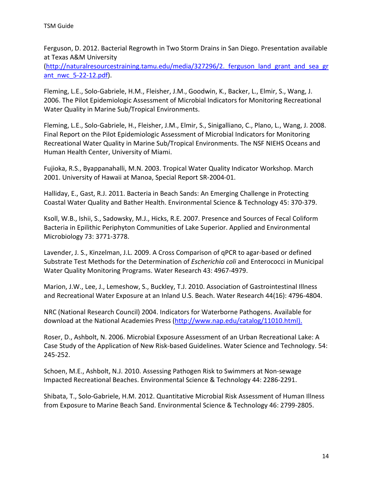Ferguson, D. 2012. Bacterial Regrowth in Two Storm Drains in San Diego. Presentation available at Texas A&M University

[\(http://naturalresourcestraining.tamu.edu/media/327296/2.\\_ferguson\\_land\\_grant\\_and\\_sea\\_gr](http://naturalresourcestraining.tamu.edu/media/327296/2._ferguson_land_grant_and_sea_grant_nwc_5-22-12.pdf) [ant\\_nwc\\_5-22-12.pdf\)](http://naturalresourcestraining.tamu.edu/media/327296/2._ferguson_land_grant_and_sea_grant_nwc_5-22-12.pdf).

Fleming, L.E., Solo-Gabriele, H.M., Fleisher, J.M., Goodwin, K., Backer, L., Elmir, S., Wang, J. 2006. The Pilot Epidemiologic Assessment of Microbial Indicators for Monitoring Recreational Water Quality in Marine Sub/Tropical Environments.

Fleming, L.E., Solo-Gabriele, H., Fleisher, J.M., Elmir, S., Sinigalliano, C., Plano, L., Wang, J. 2008. Final Report on the Pilot Epidemiologic Assessment of Microbial Indicators for Monitoring Recreational Water Quality in Marine Sub/Tropical Environments. The NSF NIEHS Oceans and Human Health Center, University of Miami.

Fujioka, R.S., Byappanahalli, M.N. 2003. Tropical Water Quality Indicator Workshop. March 2001. University of Hawaii at Manoa, Special Report SR-2004-01.

Halliday, E., Gast, R.J. 2011. Bacteria in Beach Sands: An Emerging Challenge in Protecting Coastal Water Quality and Bather Health. Environmental Science & Technology 45: 370-379.

Ksoll, W.B., Ishii, S., Sadowsky, M.J., Hicks, R.E. 2007. Presence and Sources of Fecal Coliform Bacteria in Epilithic Periphyton Communities of Lake Superior. Applied and Environmental Microbiology 73: 3771-3778.

Lavender, J. S., Kinzelman, J.L. 2009. A Cross Comparison of qPCR to agar-based or defined Substrate Test Methods for the Determination of *Escherichia coli* and Enterococci in Municipal Water Quality Monitoring Programs. Water Research 43: 4967-4979.

Marion, J.W., Lee, J., Lemeshow, S., Buckley, T.J. 2010. Association of Gastrointestinal Illness and Recreational Water Exposure at an Inland U.S. Beach. Water Research 44(16): 4796-4804.

NRC (National Research Council) 2004. Indicators for Waterborne Pathogens. Available for download at the National Academies Press [\(http://www.nap.edu/catalog/11010.html\)](http://www.nap.edu/catalog/11010.html).

Roser, D., Ashbolt, N. 2006. Microbial Exposure Assessment of an Urban Recreational Lake: A Case Study of the Application of New Risk-based Guidelines. Water Science and Technology. 54: 245-252.

Schoen, M.E., Ashbolt, N.J. 2010. Assessing Pathogen Risk to Swimmers at Non-sewage Impacted Recreational Beaches. Environmental Science & Technology 44: 2286-2291.

Shibata, T., Solo-Gabriele, H.M. 2012. Quantitative Microbial Risk Assessment of Human Illness from Exposure to Marine Beach Sand. Environmental Science & Technology 46: 2799-2805.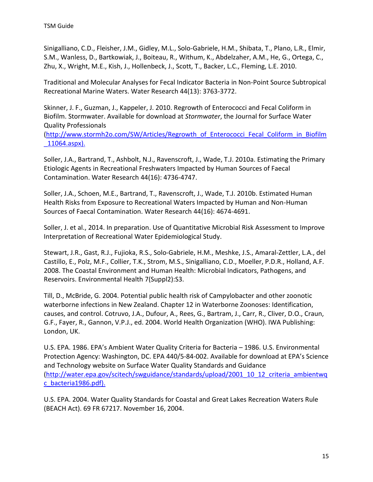Sinigalliano, C.D., Fleisher, J.M., Gidley, M.L., Solo-Gabriele, H.M., Shibata, T., Plano, L.R., Elmir, S.M., Wanless, D., Bartkowiak, J., Boiteau, R., Withum, K., Abdelzaher, A.M., He, G., Ortega, C., Zhu, X., Wright, M.E., Kish, J., Hollenbeck, J., Scott, T., Backer, L.C., Fleming, L.E. 2010.

Traditional and Molecular Analyses for Fecal Indicator Bacteria in Non-Point Source Subtropical Recreational Marine Waters. Water Research 44(13): 3763-3772.

Skinner, J. F., Guzman, J., Kappeler, J. 2010. Regrowth of Enterococci and Fecal Coliform in Biofilm. Stormwater. Available for download at *Stormwater*, the Journal for Surface Water Quality Professionals

[\(http://www.stormh2o.com/SW/Articles/Regrowth\\_of\\_Enterococci\\_Fecal\\_Coliform\\_in\\_Biofilm](http://www.stormh2o.com/SW/Articles/Regrowth_of_Enterococci_Fecal_Coliform_in_Biofilm_11064.aspx) [\\_11064.aspx\)](http://www.stormh2o.com/SW/Articles/Regrowth_of_Enterococci_Fecal_Coliform_in_Biofilm_11064.aspx).

Soller, J.A., Bartrand, T., Ashbolt, N.J., Ravenscroft, J., Wade, T.J. 2010a. Estimating the Primary Etiologic Agents in Recreational Freshwaters Impacted by Human Sources of Faecal Contamination. Water Research 44(16): 4736-4747.

Soller, J.A., Schoen, M.E., Bartrand, T., Ravenscroft, J., Wade, T.J. 2010b. Estimated Human Health Risks from Exposure to Recreational Waters Impacted by Human and Non-Human Sources of Faecal Contamination. Water Research 44(16): 4674-4691.

Soller, J. et al., 2014. In preparation. Use of Quantitative Microbial Risk Assessment to Improve Interpretation of Recreational Water Epidemiological Study.

Stewart, J.R., Gast, R.J., Fujioka, R.S., Solo-Gabriele, H.M., Meshke, J.S., Amaral-Zettler, L.A., del Castillo, E., Polz, M.F., Collier, T.K., Strom, M.S., Sinigalliano, C.D., Moeller, P.D.R., Holland, A.F. 2008. The Coastal Environment and Human Health: Microbial Indicators, Pathogens, and Reservoirs. Environmental Health 7(Suppl2):S3.

Till, D., McBride, G. 2004. Potential public health risk of Campylobacter and other zoonotic waterborne infections in New Zealand. Chapter 12 in Waterborne Zoonoses: Identification, causes, and control. Cotruvo, J.A., Dufour, A., Rees, G., Bartram, J., Carr, R., Cliver, D.O., Craun, G.F., Fayer, R., Gannon, V.P.J., ed. 2004. World Health Organization (WHO). IWA Publishing: London, UK.

U.S. EPA. 1986. EPA's Ambient Water Quality Criteria for Bacteria – 1986. U.S. Environmental Protection Agency: Washington, DC. EPA 440/5-84-002. Available for download at EPA's Science and Technology website on Surface Water Quality Standards and Guidance [\(http://water.epa.gov/scitech/swguidance/standards/upload/2001\\_10\\_12\\_criteria\\_ambientwq](http://water.epa.gov/scitech/swguidance/standards/upload/2001_10_12_criteria_ambientwqc_bacteria1986.pdf) [c\\_bacteria1986.pdf\)](http://water.epa.gov/scitech/swguidance/standards/upload/2001_10_12_criteria_ambientwqc_bacteria1986.pdf).

U.S. EPA. 2004. Water Quality Standards for Coastal and Great Lakes Recreation Waters Rule (BEACH Act). 69 FR 67217. November 16, 2004.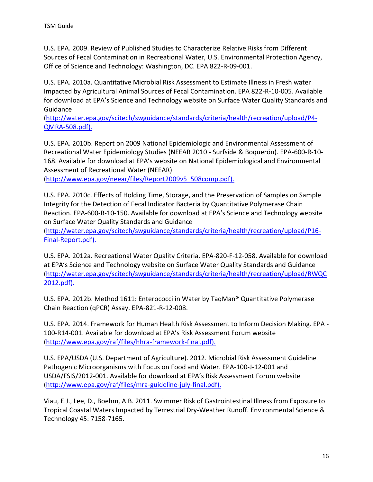U.S. EPA. 2009. Review of Published Studies to Characterize Relative Risks from Different Sources of Fecal Contamination in Recreational Water, U.S. Environmental Protection Agency, Office of Science and Technology: Washington, DC. EPA 822-R-09-001.

U.S. EPA. 2010a. Quantitative Microbial Risk Assessment to Estimate Illness in Fresh water Impacted by Agricultural Animal Sources of Fecal Contamination. EPA 822-R-10-005. Available for download at EPA's Science and Technology website on Surface Water Quality Standards and Guidance

[\(http://water.epa.gov/scitech/swguidance/standards/criteria/health/recreation/upload/P4-](http://water.epa.gov/scitech/swguidance/standards/criteria/health/recreation/upload/P4-QMRA-508.pdf) [QMRA-508.pdf\)](http://water.epa.gov/scitech/swguidance/standards/criteria/health/recreation/upload/P4-QMRA-508.pdf).

U.S. EPA. 2010b. Report on 2009 National Epidemiologic and Environmental Assessment of Recreational Water Epidemiology Studies (NEEAR 2010 - Surfside & Boquerón). EPA-600-R-10- 168. Available for download at EPA's website on National Epidemiological and Environmental Assessment of Recreational Water (NEEAR)

[\(http://www.epa.gov/neear/files/Report2009v5\\_508comp.pdf\)](http://www.epa.gov/neear/files/Report2009v5_508comp.pdf).

U.S. EPA. 2010c. Effects of Holding Time, Storage, and the Preservation of Samples on Sample Integrity for the Detection of Fecal Indicator Bacteria by Quantitative Polymerase Chain Reaction. EPA-600-R-10-150. Available for download at EPA's Science and Technology website on Surface Water Quality Standards and Guidance

[\(http://water.epa.gov/scitech/swguidance/standards/criteria/health/recreation/upload/P16-](http://water.epa.gov/scitech/swguidance/standards/criteria/health/recreation/upload/P16-Final-Report.pdf) [Final-Report.pdf\)](http://water.epa.gov/scitech/swguidance/standards/criteria/health/recreation/upload/P16-Final-Report.pdf).

U.S. EPA. 2012a. Recreational Water Quality Criteria. EPA-820-F-12-058. Available for download at EPA's Science and Technology website on Surface Water Quality Standards and Guidance [\(http://water.epa.gov/scitech/swguidance/standards/criteria/health/recreation/upload/RWQC](http://water.epa.gov/scitech/swguidance/standards/criteria/health/recreation/upload/RWQC2012.pdf) [2012.pdf\)](http://water.epa.gov/scitech/swguidance/standards/criteria/health/recreation/upload/RWQC2012.pdf).

U.S. EPA. 2012b. Method 1611: Enterococci in Water by TaqMan® Quantitative Polymerase Chain Reaction (qPCR) Assay. EPA-821-R-12-008.

U.S. EPA. 2014. Framework for Human Health Risk Assessment to Inform Decision Making. EPA - 100-R14-001. Available for download at EPA's Risk Assessment Forum website [\(http://www.epa.gov/raf/files/hhra-framework-final.pdf\)](http://www.epa.gov/raf/files/hhra-framework-final.pdf).

U.S. EPA/USDA (U.S. Department of Agriculture). 2012. Microbial Risk Assessment Guideline Pathogenic Microorganisms with Focus on Food and Water. EPA-100-J-12-001 and USDA/FSIS/2012-001. Available for download at EPA's Risk Assessment Forum website [\(http://www.epa.gov/raf/files/mra-guideline-july-final.pdf\)](http://www.epa.gov/raf/files/mra-guideline-july-final.pdf).

Viau, E.J., Lee, D., Boehm, A.B. 2011. Swimmer Risk of Gastrointestinal Illness from Exposure to Tropical Coastal Waters Impacted by Terrestrial Dry-Weather Runoff. Environmental Science & Technology 45: 7158-7165.